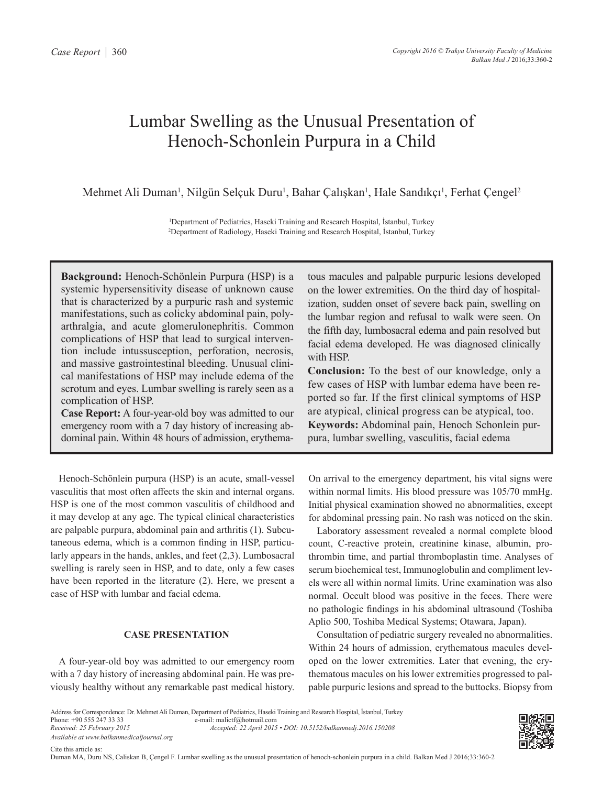# Lumbar Swelling as the Unusual Presentation of Henoch-Schonlein Purpura in a Child

Mehmet Ali Duman<sup>1</sup>, Nilgün Selçuk Duru<sup>1</sup>, Bahar Çalışkan<sup>1</sup>, Hale Sandıkçı<sup>1</sup>, Ferhat Çengel<sup>2</sup>

1 Department of Pediatrics, Haseki Training and Research Hospital, İstanbul, Turkey 2 Department of Radiology, Haseki Training and Research Hospital, İstanbul, Turkey

**Background:** Henoch-Schönlein Purpura (HSP) is a systemic hypersensitivity disease of unknown cause that is characterized by a purpuric rash and systemic manifestations, such as colicky abdominal pain, polyarthralgia, and acute glomerulonephritis. Common complications of HSP that lead to surgical intervention include intussusception, perforation, necrosis, and massive gastrointestinal bleeding. Unusual clinical manifestations of HSP may include edema of the scrotum and eyes. Lumbar swelling is rarely seen as a complication of HSP.

**Case Report:** A four-year-old boy was admitted to our emergency room with a 7 day history of increasing abdominal pain. Within 48 hours of admission, erythema-

Henoch-Schönlein purpura (HSP) is an acute, small-vessel vasculitis that most often affects the skin and internal organs. HSP is one of the most common vasculitis of childhood and it may develop at any age. The typical clinical characteristics are palpable purpura, abdominal pain and arthritis (1). Subcutaneous edema, which is a common finding in HSP, particularly appears in the hands, ankles, and feet (2,3). Lumbosacral swelling is rarely seen in HSP, and to date, only a few cases have been reported in the literature (2). Here, we present a case of HSP with lumbar and facial edema.

# **CASE PRESENTATION**

A four-year-old boy was admitted to our emergency room with a 7 day history of increasing abdominal pain. He was previously healthy without any remarkable past medical history. tous macules and palpable purpuric lesions developed on the lower extremities. On the third day of hospitalization, sudden onset of severe back pain, swelling on the lumbar region and refusal to walk were seen. On the fifth day, lumbosacral edema and pain resolved but facial edema developed. He was diagnosed clinically with HSP.

**Conclusion:** To the best of our knowledge, only a few cases of HSP with lumbar edema have been reported so far. If the first clinical symptoms of HSP are atypical, clinical progress can be atypical, too. **Keywords:** Abdominal pain, Henoch Schonlein purpura, lumbar swelling, vasculitis, facial edema

On arrival to the emergency department, his vital signs were within normal limits. His blood pressure was 105/70 mmHg. Initial physical examination showed no abnormalities, except for abdominal pressing pain. No rash was noticed on the skin.

Laboratory assessment revealed a normal complete blood count, C-reactive protein, creatinine kinase, albumin, prothrombin time, and partial thromboplastin time. Analyses of serum biochemical test, Immunoglobulin and compliment levels were all within normal limits. Urine examination was also normal. Occult blood was positive in the feces. There were no pathologic findings in his abdominal ultrasound (Toshiba Aplio 500, Toshiba Medical Systems; Otawara, Japan).

Consultation of pediatric surgery revealed no abnormalities. Within 24 hours of admission, erythematous macules developed on the lower extremities. Later that evening, the erythematous macules on his lower extremities progressed to palpable purpuric lesions and spread to the buttocks. Biopsy from

Address for Correspondence: Dr. Mehmet Ali Duman, Department of Pediatrics, Haseki Training and Research Hospital, İstanbul, Turkey Phone: +90 555 247 33 33 e-mail: malictf@hotmail.com *Received: 25 February 2015 Accepted: 22 April 2015 • DOI: 10.5152/balkanmedj.2016.150208 Available at www.balkanmedicaljournal.org*



Duman MA, Duru NS, Caliskan B, Çengel F. Lumbar swelling as the unusual presentation of henoch-schonlein purpura in a child. Balkan Med J 2016;33:360-2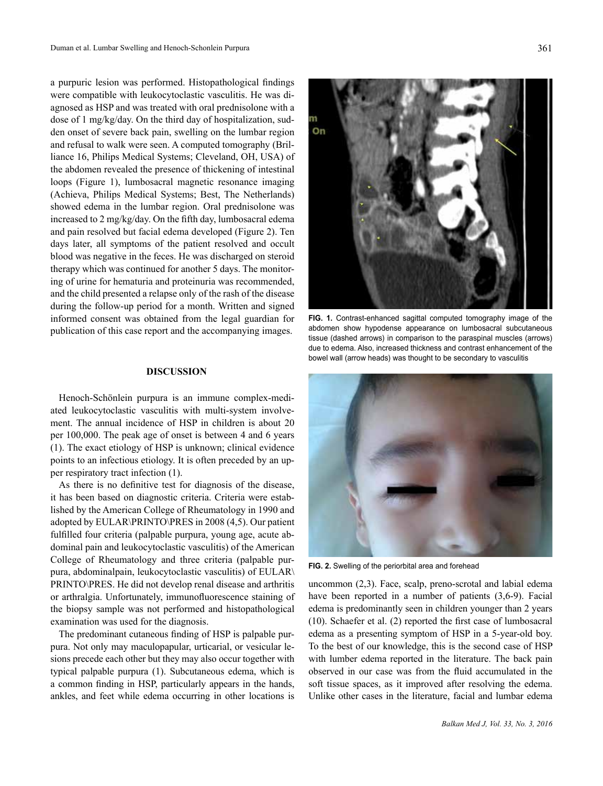a purpuric lesion was performed. Histopathological findings were compatible with leukocytoclastic vasculitis. He was diagnosed as HSP and was treated with oral prednisolone with a dose of 1 mg/kg/day. On the third day of hospitalization, sudden onset of severe back pain, swelling on the lumbar region and refusal to walk were seen. A computed tomography (Brilliance 16, Philips Medical Systems; Cleveland, OH, USA) of the abdomen revealed the presence of thickening of intestinal loops (Figure 1), lumbosacral magnetic resonance imaging (Achieva, Philips Medical Systems; Best, The Netherlands) showed edema in the lumbar region. Oral prednisolone was increased to 2 mg/kg/day. On the fifth day, lumbosacral edema and pain resolved but facial edema developed (Figure 2). Ten days later, all symptoms of the patient resolved and occult blood was negative in the feces. He was discharged on steroid therapy which was continued for another 5 days. The monitoring of urine for hematuria and proteinuria was recommended, and the child presented a relapse only of the rash of the disease during the follow-up period for a month. Written and signed informed consent was obtained from the legal guardian for publication of this case report and the accompanying images.

#### **DISCUSSION**

Henoch-Schönlein purpura is an immune complex-mediated leukocytoclastic vasculitis with multi-system involvement. The annual incidence of HSP in children is about 20 per 100,000. The peak age of onset is between 4 and 6 years (1). The exact etiology of HSP is unknown; clinical evidence points to an infectious etiology. It is often preceded by an upper respiratory tract infection (1).

As there is no definitive test for diagnosis of the disease, it has been based on diagnostic criteria. Criteria were established by the American College of Rheumatology in 1990 and adopted by EULAR\PRINTO\PRES in 2008 (4,5). Our patient fulfilled four criteria (palpable purpura, young age, acute abdominal pain and leukocytoclastic vasculitis) of the American College of Rheumatology and three criteria (palpable purpura, abdominalpain, leukocytoclastic vasculitis) of EULAR\ PRINTO\PRES. He did not develop renal disease and arthritis or arthralgia. Unfortunately, immunofluorescence staining of the biopsy sample was not performed and histopathological examination was used for the diagnosis.

The predominant cutaneous finding of HSP is palpable purpura. Not only may maculopapular, urticarial, or vesicular lesions precede each other but they may also occur together with typical palpable purpura (1). Subcutaneous edema, which is a common finding in HSP, particularly appears in the hands, ankles, and feet while edema occurring in other locations is



**FIG. 1.** Contrast-enhanced sagittal computed tomography image of the abdomen show hypodense appearance on lumbosacral subcutaneous tissue (dashed arrows) in comparison to the paraspinal muscles (arrows) due to edema. Also, increased thickness and contrast enhancement of the bowel wall (arrow heads) was thought to be secondary to vasculitis



**FIG. 2.** Swelling of the periorbital area and forehead

uncommon (2,3). Face, scalp, preno-scrotal and labial edema have been reported in a number of patients (3,6-9). Facial edema is predominantly seen in children younger than 2 years (10). Schaefer et al. (2) reported the first case of lumbosacral edema as a presenting symptom of HSP in a 5-year-old boy. To the best of our knowledge, this is the second case of HSP with lumber edema reported in the literature. The back pain observed in our case was from the fluid accumulated in the soft tissue spaces, as it improved after resolving the edema. Unlike other cases in the literature, facial and lumbar edema